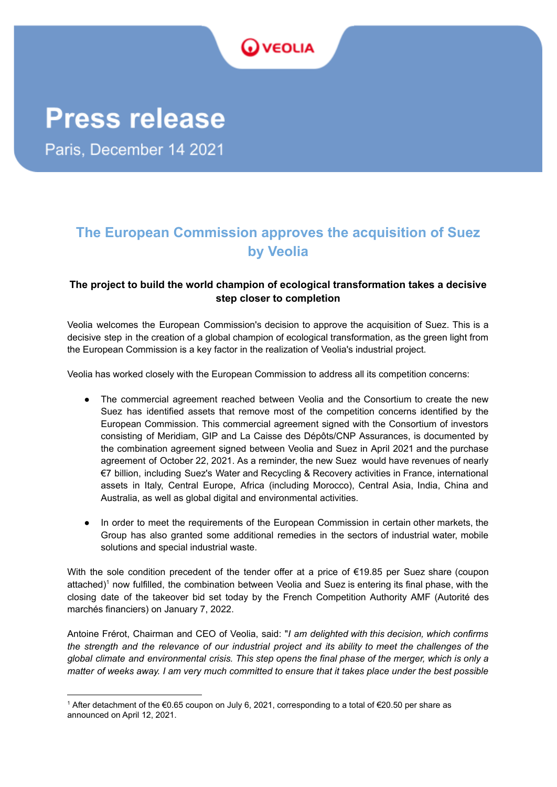

# **The European Commission approves the acquisition of Suez by Veolia**

## **The project to build the world champion of ecological transformation takes a decisive step closer to completion**

Veolia welcomes the European Commission's decision to approve the acquisition of Suez. This is a decisive step in the creation of a global champion of ecological transformation, as the green light from the European Commission is a key factor in the realization of Veolia's industrial project.

Veolia has worked closely with the European Commission to address all its competition concerns:

- The commercial agreement reached between Veolia and the Consortium to create the new Suez has identified assets that remove most of the competition concerns identified by the European Commission. This commercial agreement signed with the Consortium of investors consisting of Meridiam, GIP and La Caisse des Dépôts/CNP Assurances, is documented by the combination agreement signed between Veolia and Suez in April 2021 and the purchase agreement of October 22, 2021. As a reminder, the new Suez would have revenues of nearly €7 billion, including Suez's Water and Recycling & Recovery activities in France, international assets in Italy, Central Europe, Africa (including Morocco), Central Asia, India, China and Australia, as well as global digital and environmental activities.
- In order to meet the requirements of the European Commission in certain other markets, the Group has also granted some additional remedies in the sectors of industrial water, mobile solutions and special industrial waste.

With the sole condition precedent of the tender offer at a price of €19.85 per Suez share (coupon attached) <sup>1</sup> now fulfilled, the combination between Veolia and Suez is entering its final phase, with the closing date of the takeover bid set today by the French Competition Authority AMF (Autorité des marchés financiers) on January 7, 2022.

Antoine Frérot, Chairman and CEO of Veolia, said: "*I am delighted with this decision, which confirms* the strength and the relevance of our industrial project and its ability to meet the challenges of the global climate and environmental crisis. This step opens the final phase of the merger, which is only a matter of weeks away. I am very much committed to ensure that it takes place under the best possible

<sup>1</sup> After detachment of the €0.65 coupon on July 6, 2021, corresponding to a total of €20.50 per share as announced on April 12, 2021.